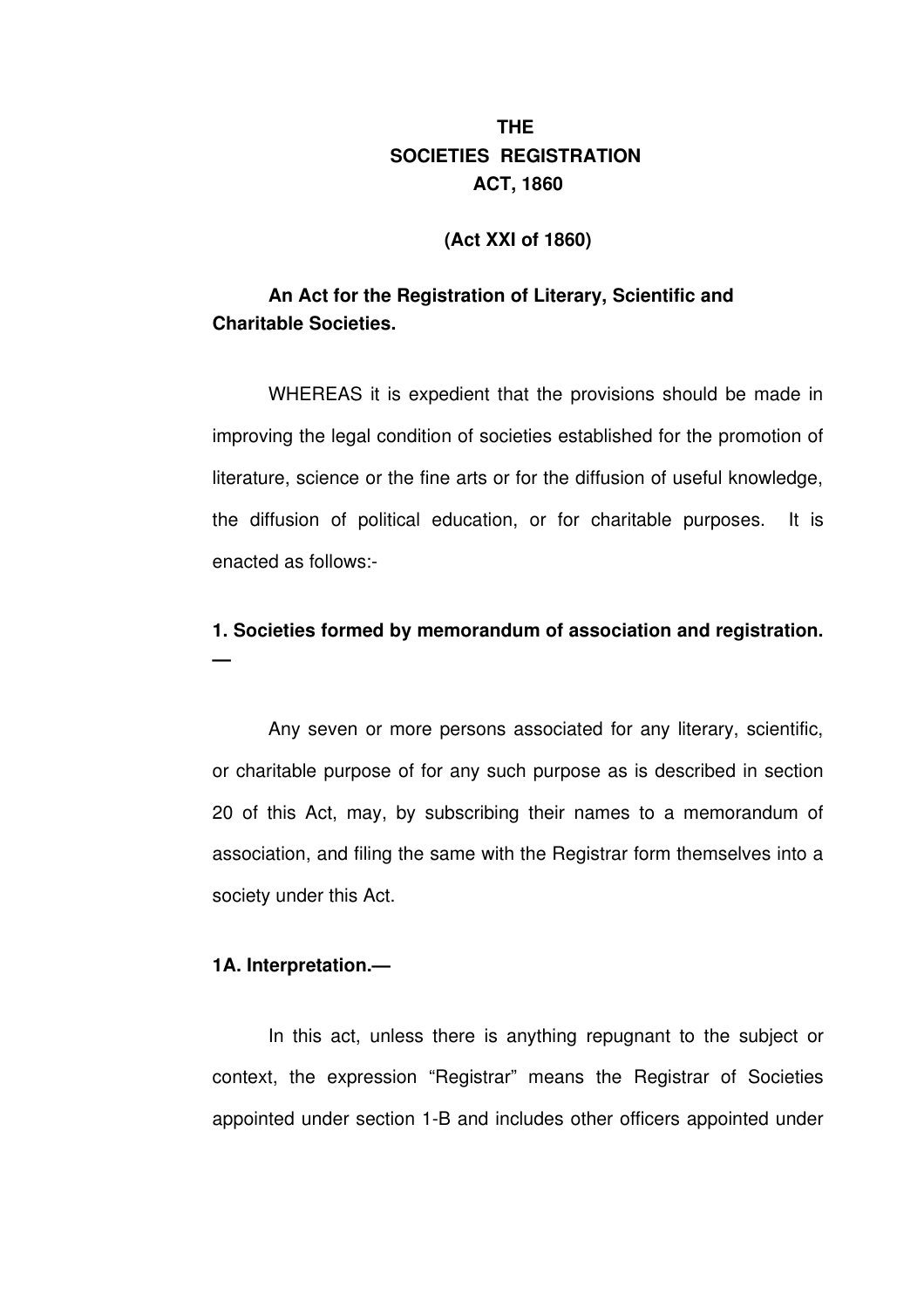# **THE SOCIETIES REGISTRATION ACT, 1860**

# **(Act XXI of 1860)**

# **An Act for the Registration of Literary, Scientific and Charitable Societies.**

WHEREAS it is expedient that the provisions should be made in improving the legal condition of societies established for the promotion of literature, science or the fine arts or for the diffusion of useful knowledge, the diffusion of political education, or for charitable purposes. It is enacted as follows:

# **1. Societies formed by memorandum of association and registration.**

Any seven or more persons associated for any literary, scientific, or charitable purpose of for any such purpose as is described in section 20 of this Act, may, by subscribing their names to a memorandum of association, and filing the same with the Registrar form themselves into a society under this Act.

# **1A. Interpretation.—**

**—**

In this act, unless there is anything repugnant to the subject or context, the expression "Registrar" means the Registrar of Societies appointed under section 1-B and includes other officers appointed under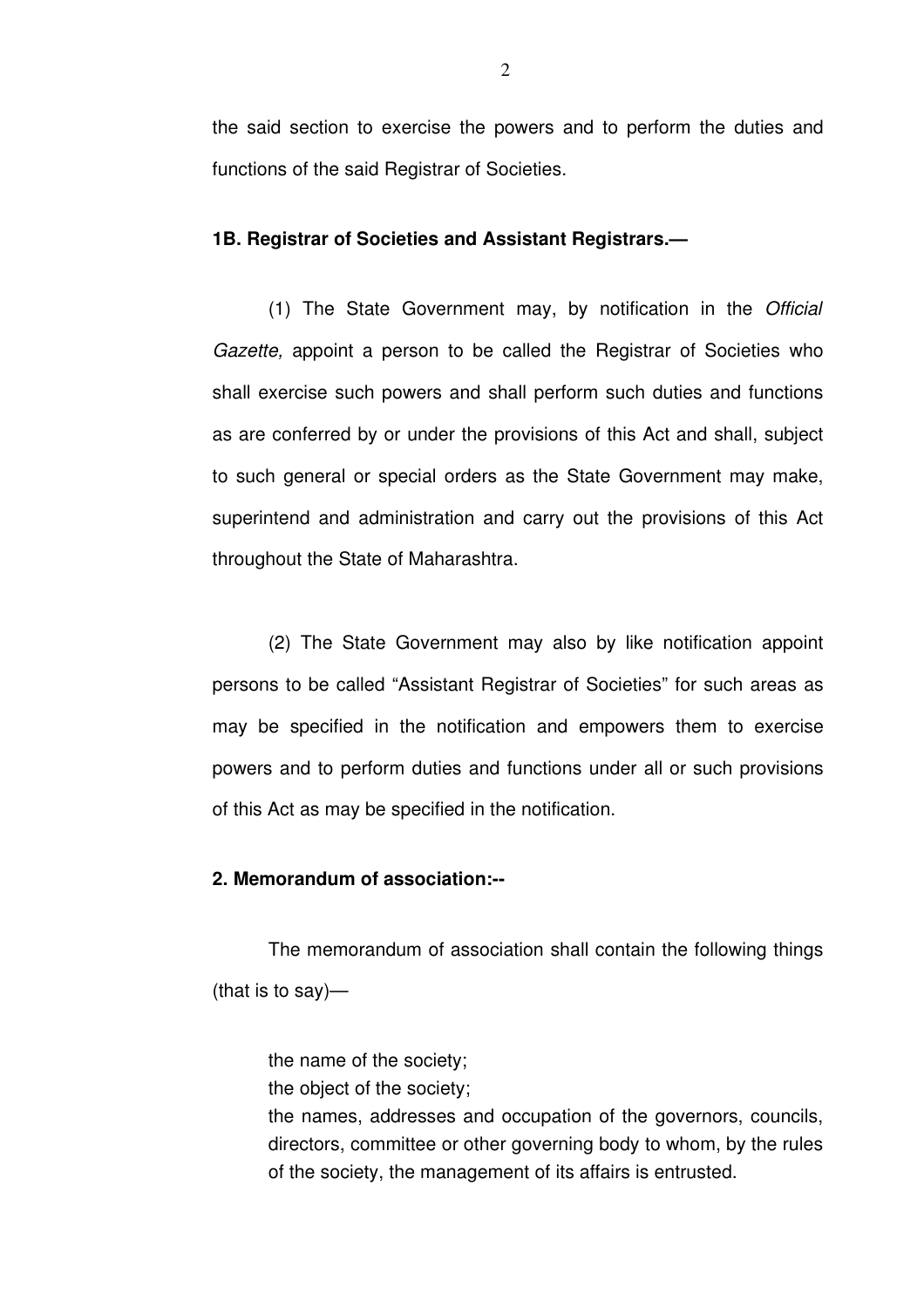the said section to exercise the powers and to perform the duties and functions of the said Registrar of Societies.

#### **1B. Registrar of Societies and Assistant Registrars.—**

(1) The State Government may, by notification in the *Official Gazette,* appoint a person to be called the Registrar of Societies who shall exercise such powers and shall perform such duties and functions as are conferred by or under the provisions of this Act and shall, subject to such general or special orders as the State Government may make, superintend and administration and carry out the provisions of this Act throughout the State of Maharashtra.

(2) The State Government may also by like notification appoint persons to be called "Assistant Registrar of Societies" for such areas as may be specified in the notification and empowers them to exercise powers and to perform duties and functions under all or such provisions of this Act as may be specified in the notification.

# **2. Memorandum of association:**

The memorandum of association shall contain the following things (that is to say)—

the name of the society;

the object of the society;

the names, addresses and occupation of the governors, councils, directors, committee or other governing body to whom, by the rules of the society, the management of its affairs is entrusted.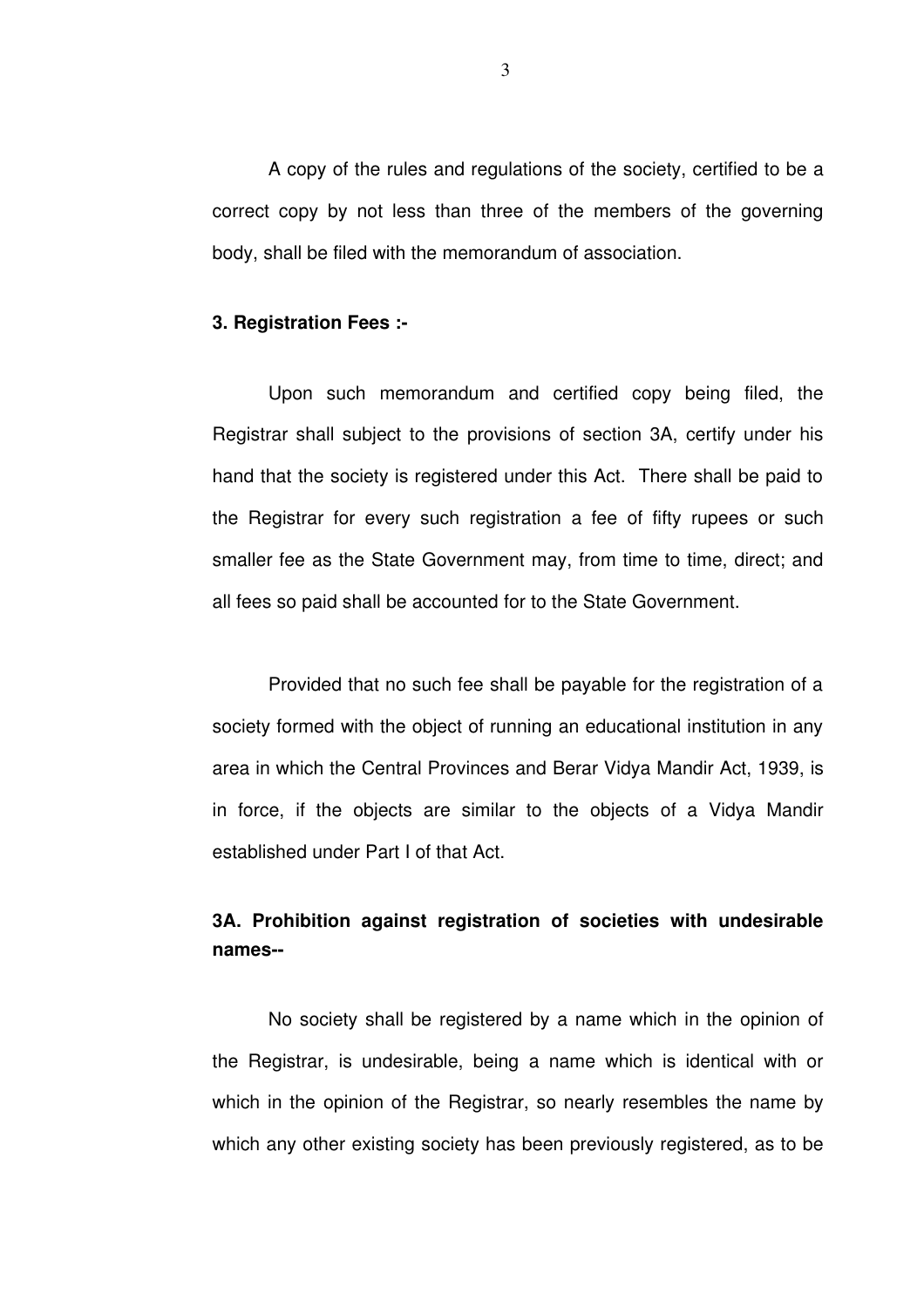A copy of the rules and regulations of the society, certified to be a correct copy by not less than three of the members of the governing body, shall be filed with the memorandum of association.

#### **3. Registration Fees :**

Upon such memorandum and certified copy being filed, the Registrar shall subject to the provisions of section 3A, certify under his hand that the society is registered under this Act. There shall be paid to the Registrar for every such registration a fee of fifty rupees or such smaller fee as the State Government may, from time to time, direct; and all fees so paid shall be accounted for to the State Government.

Provided that no such fee shall be payable for the registration of a society formed with the object of running an educational institution in any area in which the Central Provinces and Berar Vidya Mandir Act, 1939, is in force, if the objects are similar to the objects of a Vidya Mandir established under Part I of that Act.

# **3A. Prohibition against registration of societies with undesirable names**

No society shall be registered by a name which in the opinion of the Registrar, is undesirable, being a name which is identical with or which in the opinion of the Registrar, so nearly resembles the name by which any other existing society has been previously registered, as to be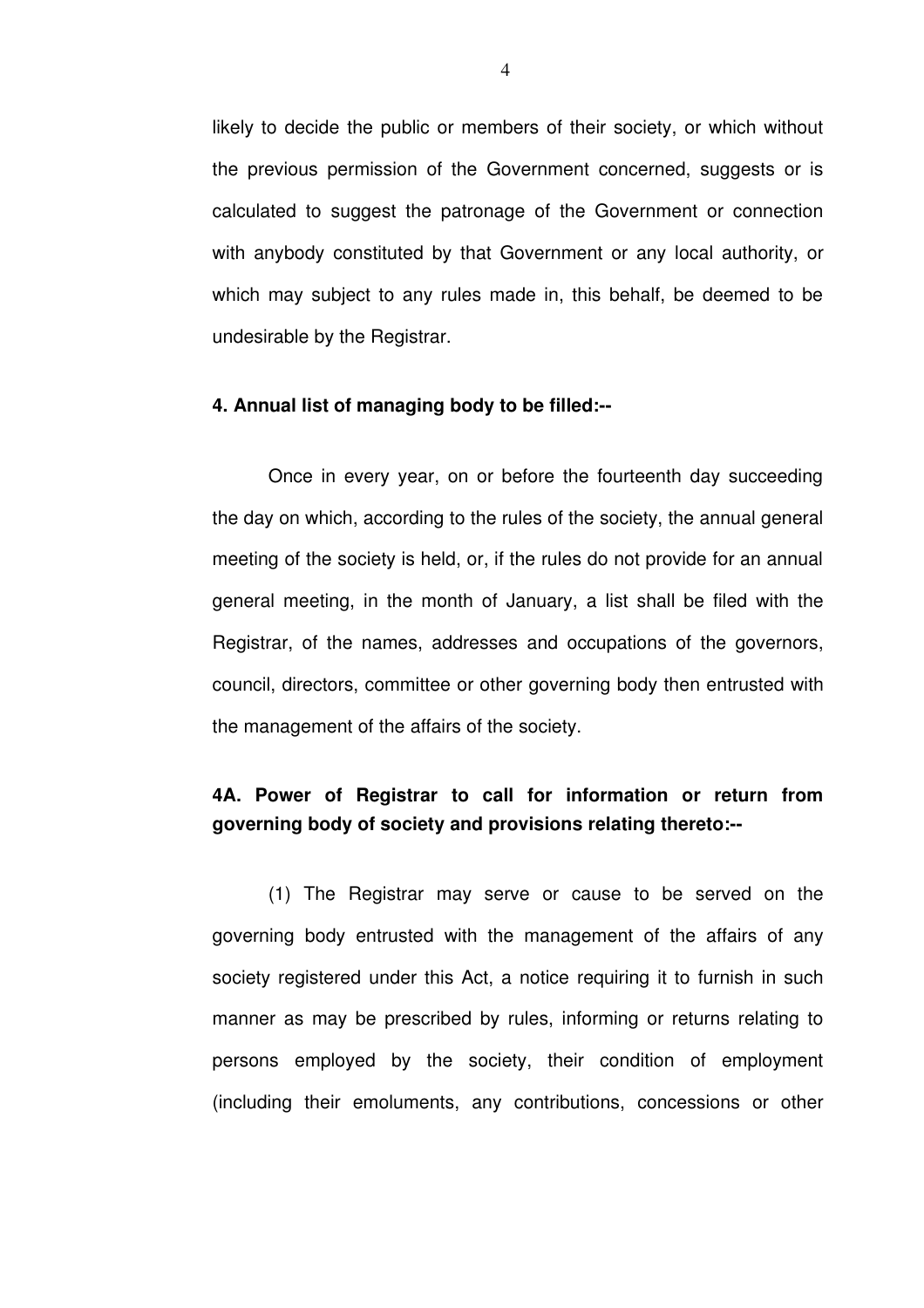likely to decide the public or members of their society, or which without the previous permission of the Government concerned, suggests or is calculated to suggest the patronage of the Government or connection with anybody constituted by that Government or any local authority, or which may subject to any rules made in, this behalf, be deemed to be undesirable by the Registrar.

#### **4. Annual list of managing body to be filled:**

Once in every year, on or before the fourteenth day succeeding the day on which, according to the rules of the society, the annual general meeting of the society is held, or, if the rules do not provide for an annual general meeting, in the month of January, a list shall be filed with the Registrar, of the names, addresses and occupations of the governors, council, directors, committee or other governing body then entrusted with the management of the affairs of the society.

# **4A. Power of Registrar to call for information or return from governing body of society and provisions relating thereto:**

(1) The Registrar may serve or cause to be served on the governing body entrusted with the management of the affairs of any society registered under this Act, a notice requiring it to furnish in such manner as may be prescribed by rules, informing or returns relating to persons employed by the society, their condition of employment (including their emoluments, any contributions, concessions or other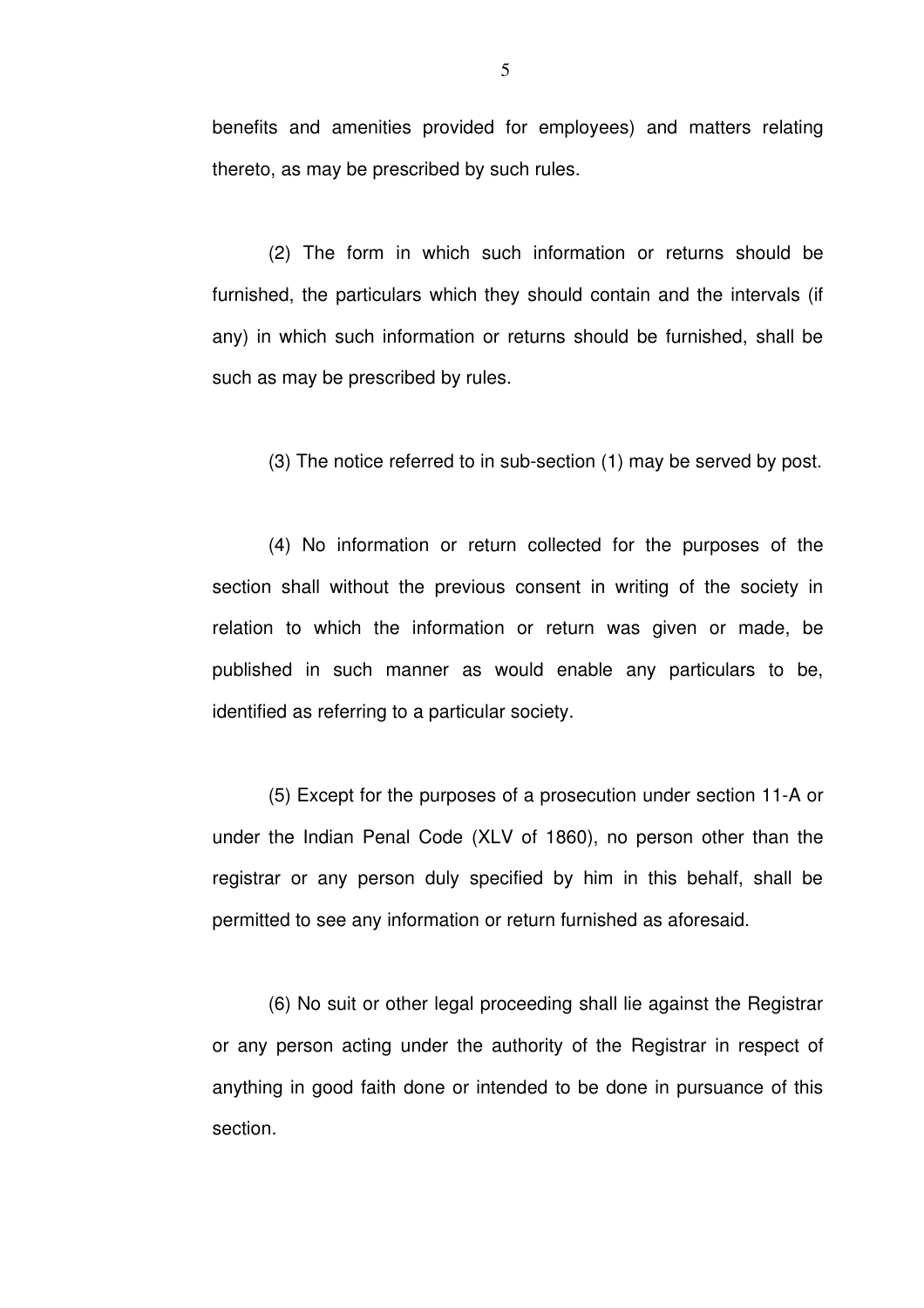benefits and amenities provided for employees) and matters relating thereto, as may be prescribed by such rules.

(2) The form in which such information or returns should be furnished, the particulars which they should contain and the intervals (if any) in which such information or returns should be furnished, shall be such as may be prescribed by rules.

 $(3)$  The notice referred to in sub-section  $(1)$  may be served by post.

(4) No information or return collected for the purposes of the section shall without the previous consent in writing of the society in relation to which the information or return was given or made, be published in such manner as would enable any particulars to be, identified as referring to a particular society.

(5) Except for the purposes of a prosecution under section 11-A or under the Indian Penal Code (XLV of 1860), no person other than the registrar or any person duly specified by him in this behalf, shall be permitted to see any information or return furnished as aforesaid.

(6) No suit or other legal proceeding shall lie against the Registrar or any person acting under the authority of the Registrar in respect of anything in good faith done or intended to be done in pursuance of this section.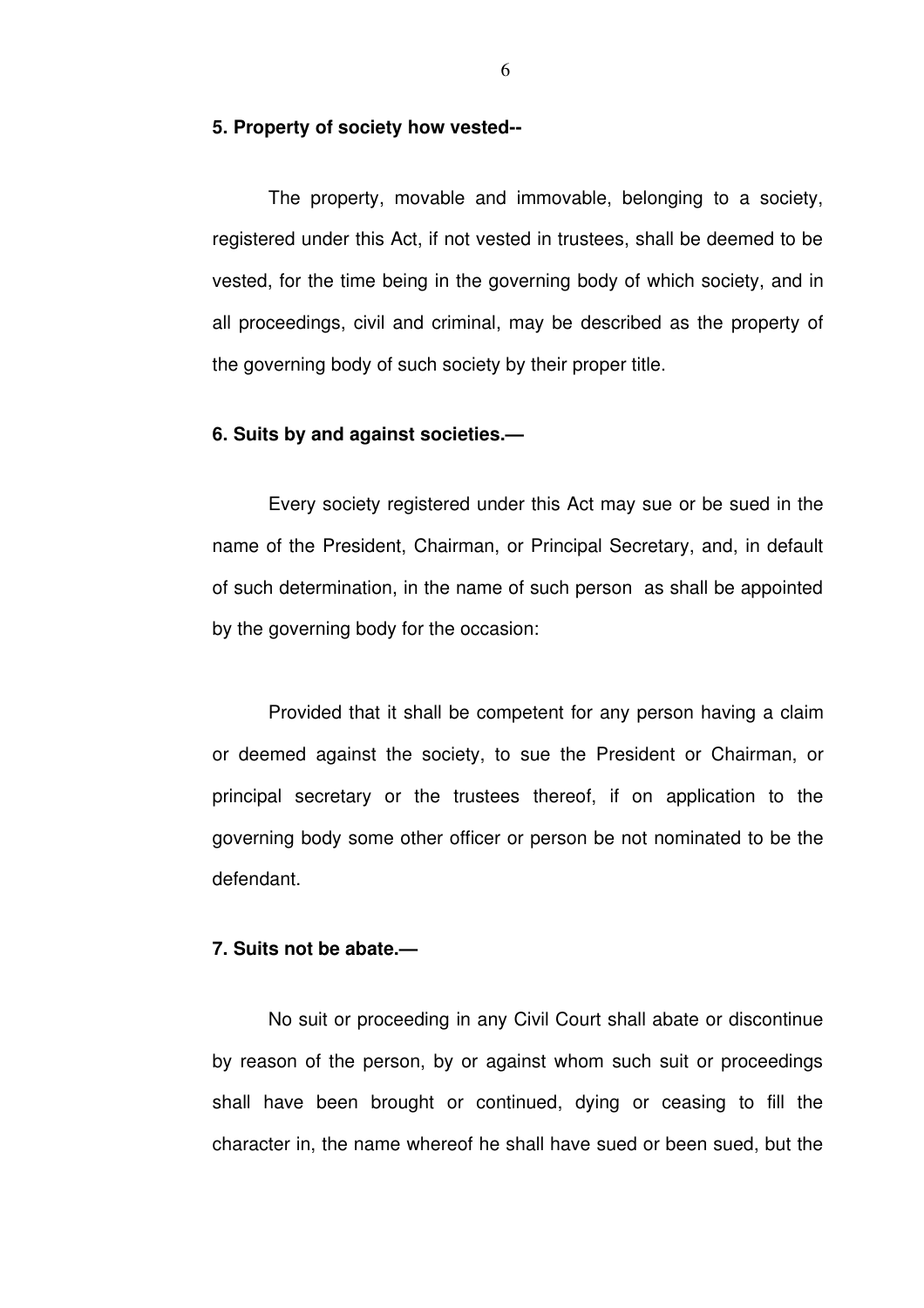## **5. Property of society how vested**

The property, movable and immovable, belonging to a society, registered under this Act, if not vested in trustees, shall be deemed to be vested, for the time being in the governing body of which society, and in all proceedings, civil and criminal, may be described as the property of the governing body of such society by their proper title.

# **6. Suits by and against societies.—**

Every society registered under this Act may sue or be sued in the name of the President, Chairman, or Principal Secretary, and, in default of such determination, in the name of such person as shall be appointed by the governing body for the occasion:

Provided that it shall be competent for any person having a claim or deemed against the society, to sue the President or Chairman, or principal secretary or the trustees thereof, if on application to the governing body some other officer or person be not nominated to be the defendant.

# **7. Suits not be abate.—**

No suit or proceeding in any Civil Court shall abate or discontinue by reason of the person, by or against whom such suit or proceedings shall have been brought or continued, dying or ceasing to fill the character in, the name whereof he shall have sued or been sued, but the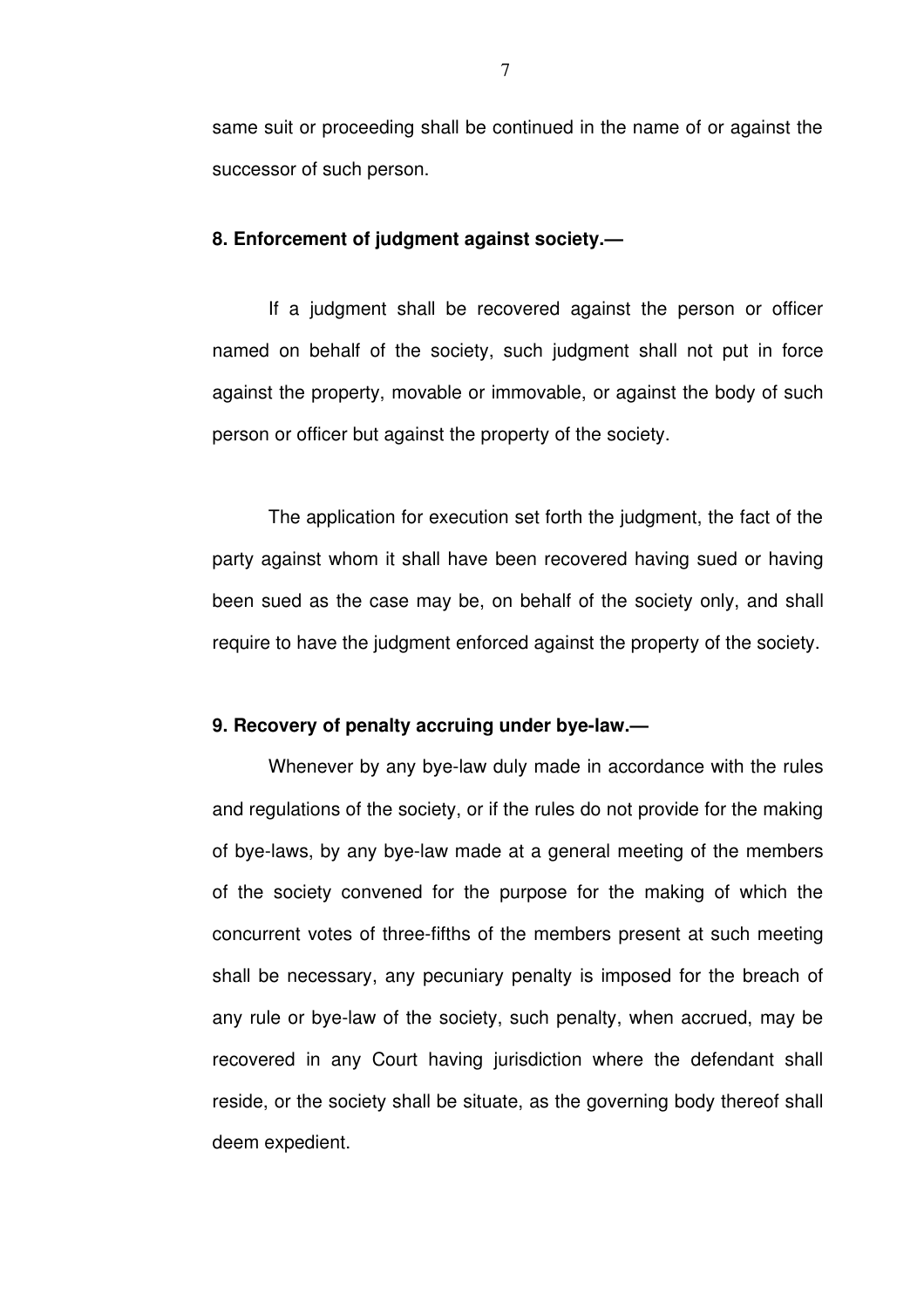same suit or proceeding shall be continued in the name of or against the successor of such person.

#### **8. Enforcement of judgment against society.—**

If a judgment shall be recovered against the person or officer named on behalf of the society, such judgment shall not put in force against the property, movable or immovable, or against the body of such person or officer but against the property of the society.

The application for execution set forth the judgment, the fact of the party against whom it shall have been recovered having sued or having been sued as the case may be, on behalf of the society only, and shall require to have the judgment enforced against the property of the society.

## **9. Recovery of penalty accruing under byelaw.—**

Whenever by any bye-law duly made in accordance with the rules and regulations of the society, or if the rules do not provide for the making of bye-laws, by any bye-law made at a general meeting of the members of the society convened for the purpose for the making of which the concurrent votes of three-fifths of the members present at such meeting shall be necessary, any pecuniary penalty is imposed for the breach of any rule or bye-law of the society, such penalty, when accrued, may be recovered in any Court having jurisdiction where the defendant shall reside, or the society shall be situate, as the governing body thereof shall deem expedient.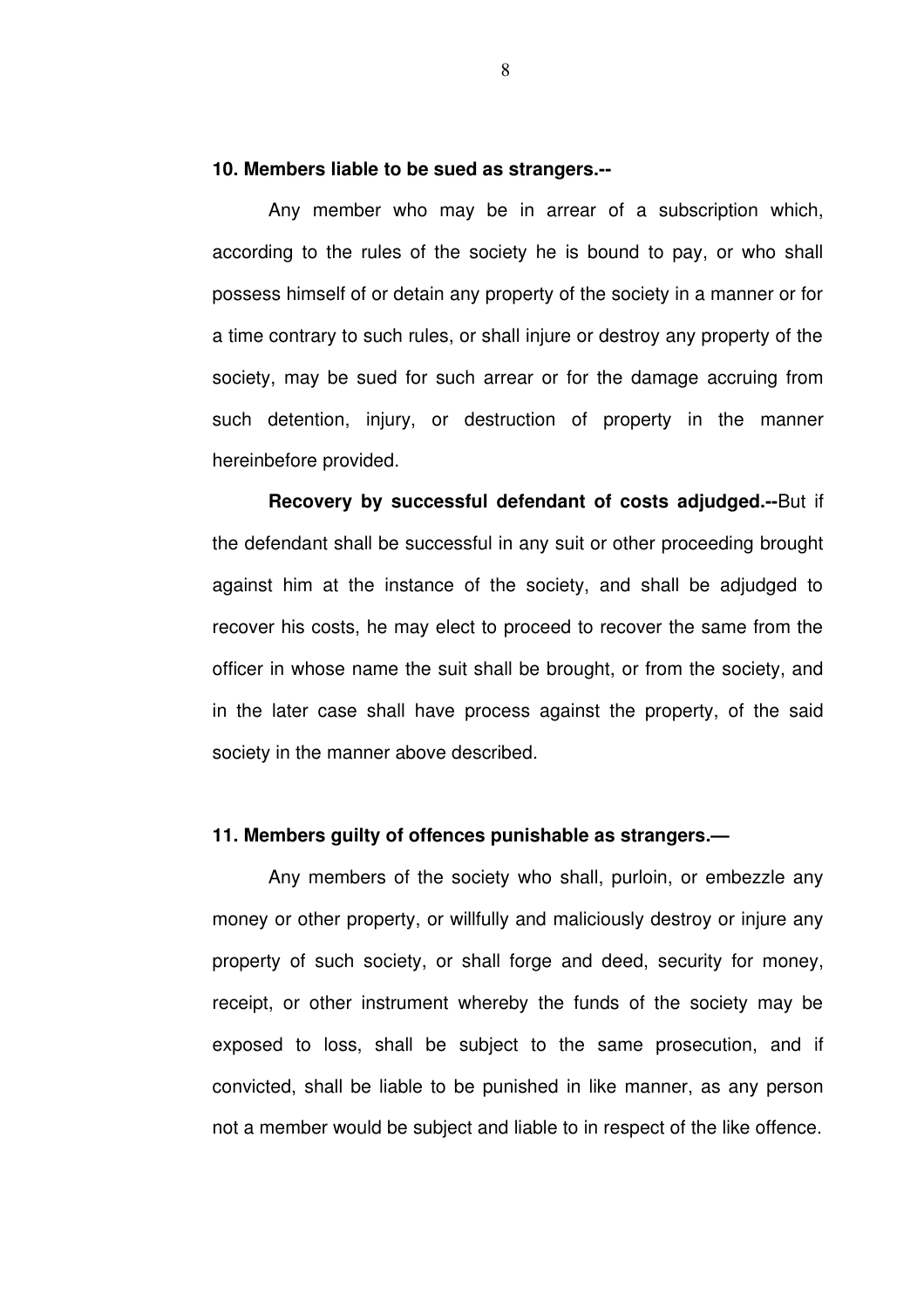#### **10. Members liable to be sued as strangers.**

Any member who may be in arrear of a subscription which, according to the rules of the society he is bound to pay, or who shall possess himself of or detain any property of the society in a manner or for a time contrary to such rules, or shall injure or destroy any property of the society, may be sued for such arrear or for the damage accruing from such detention, injury, or destruction of property in the manner hereinbefore provided.

**Recovery** by successful defendant of costs adjudged.--But if the defendant shall be successful in any suit or other proceeding brought against him at the instance of the society, and shall be adjudged to recover his costs, he may elect to proceed to recover the same from the officer in whose name the suit shall be brought, or from the society, and in the later case shall have process against the property, of the said society in the manner above described.

## **11. Members guilty of offences punishable as strangers.—**

Any members of the society who shall, purloin, or embezzle any money or other property, or willfully and maliciously destroy or injure any property of such society, or shall forge and deed, security for money, receipt, or other instrument whereby the funds of the society may be exposed to loss, shall be subject to the same prosecution, and if convicted, shall be liable to be punished in like manner, as any person not a member would be subject and liable to in respect of the like offence.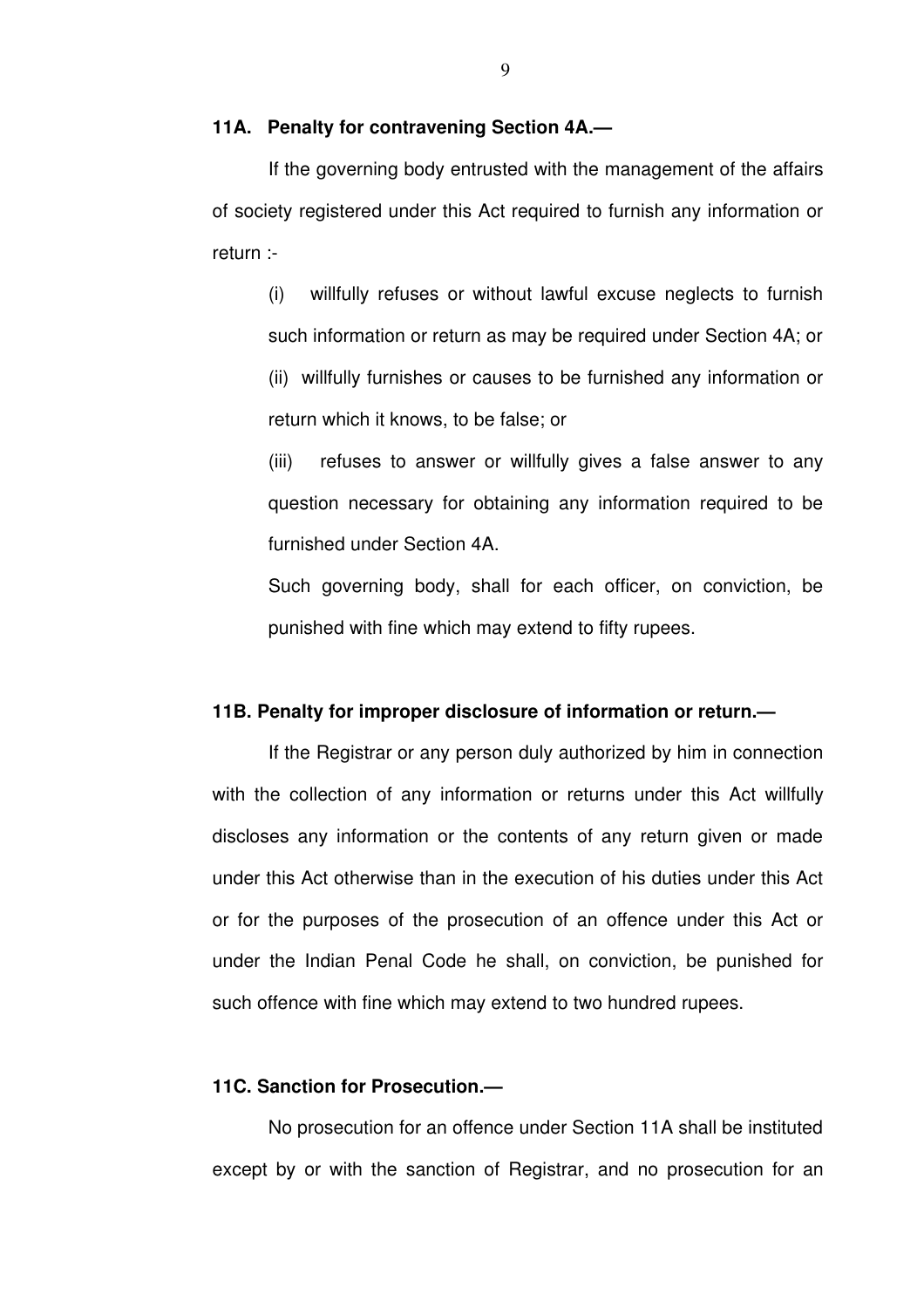# **11A. Penalty for contravening Section 4A.—**

If the governing body entrusted with the management of the affairs of society registered under this Act required to furnish any information or return :

(i) willfully refuses or without lawful excuse neglects to furnish such information or return as may be required under Section 4A; or (ii) willfully furnishes or causes to be furnished any information or return which it knows, to be false; or

(iii) refuses to answer or willfully gives a false answer to any question necessary for obtaining any information required to be furnished under Section 4A.

Such governing body, shall for each officer, on conviction, be punished with fine which may extend to fifty rupees.

#### **11B. Penalty for improper disclosure of information or return.—**

If the Registrar or any person duly authorized by him in connection with the collection of any information or returns under this Act willfully discloses any information or the contents of any return given or made under this Act otherwise than in the execution of his duties under this Act or for the purposes of the prosecution of an offence under this Act or under the Indian Penal Code he shall, on conviction, be punished for such offence with fine which may extend to two hundred rupees.

# **11C. Sanction for Prosecution.—**

No prosecution for an offence under Section 11A shall be instituted except by or with the sanction of Registrar, and no prosecution for an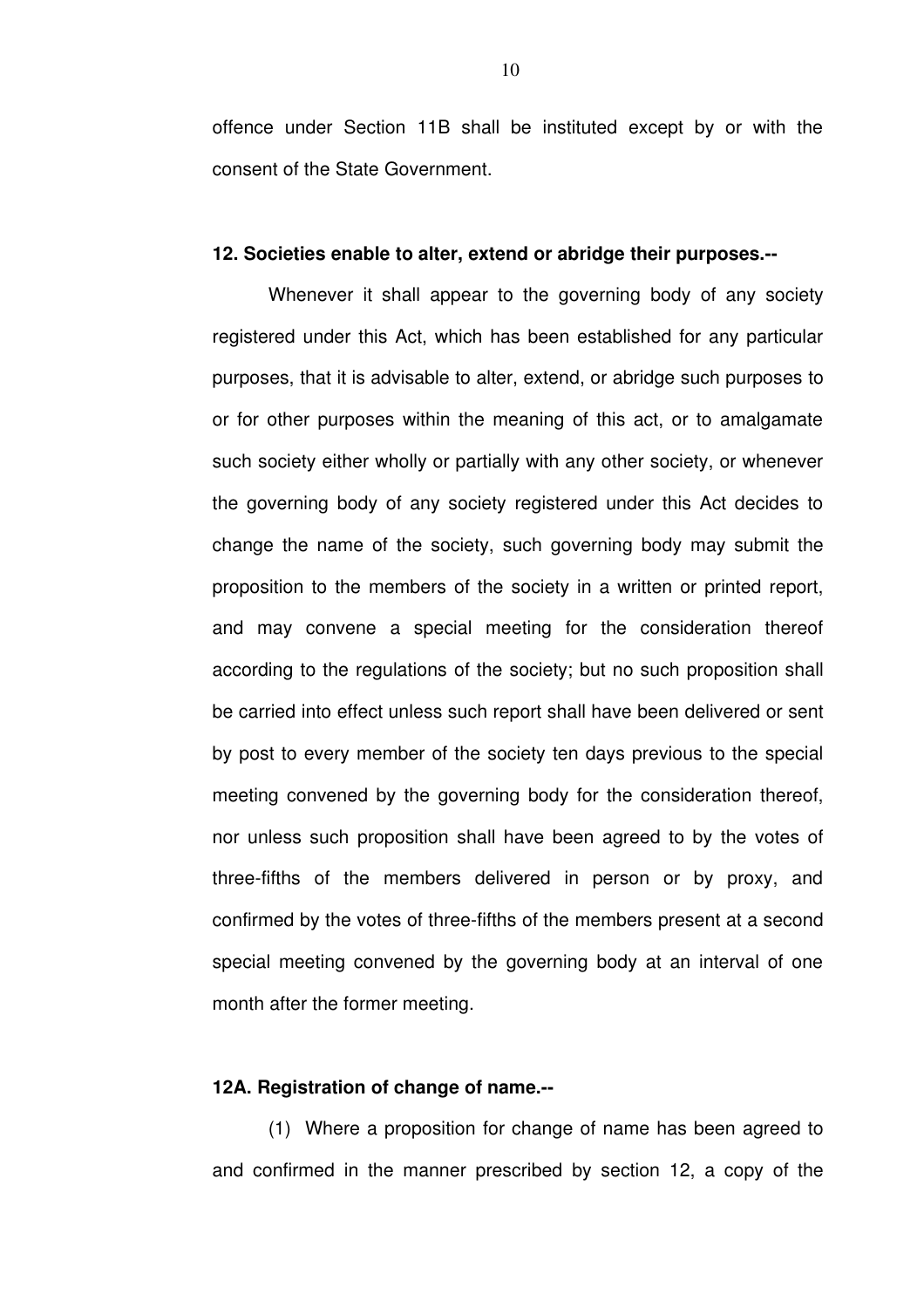offence under Section 11B shall be instituted except by or with the consent of the State Government.

## **12. Societies enable to alter, extend or abridge their purposes.**

Whenever it shall appear to the governing body of any society registered under this Act, which has been established for any particular purposes, that it is advisable to alter, extend, or abridge such purposes to or for other purposes within the meaning of this act, or to amalgamate such society either wholly or partially with any other society, or whenever the governing body of any society registered under this Act decides to change the name of the society, such governing body may submit the proposition to the members of the society in a written or printed report, and may convene a special meeting for the consideration thereof according to the regulations of the society; but no such proposition shall be carried into effect unless such report shall have been delivered or sent by post to every member of the society ten days previous to the special meeting convened by the governing body for the consideration thereof, nor unless such proposition shall have been agreed to by the votes of three-fifths of the members delivered in person or by proxy, and confirmed by the votes of three-fifths of the members present at a second special meeting convened by the governing body at an interval of one month after the former meeting.

# **12A. Registration of change of name.**

(1) Where a proposition for change of name has been agreed to and confirmed in the manner prescribed by section 12, a copy of the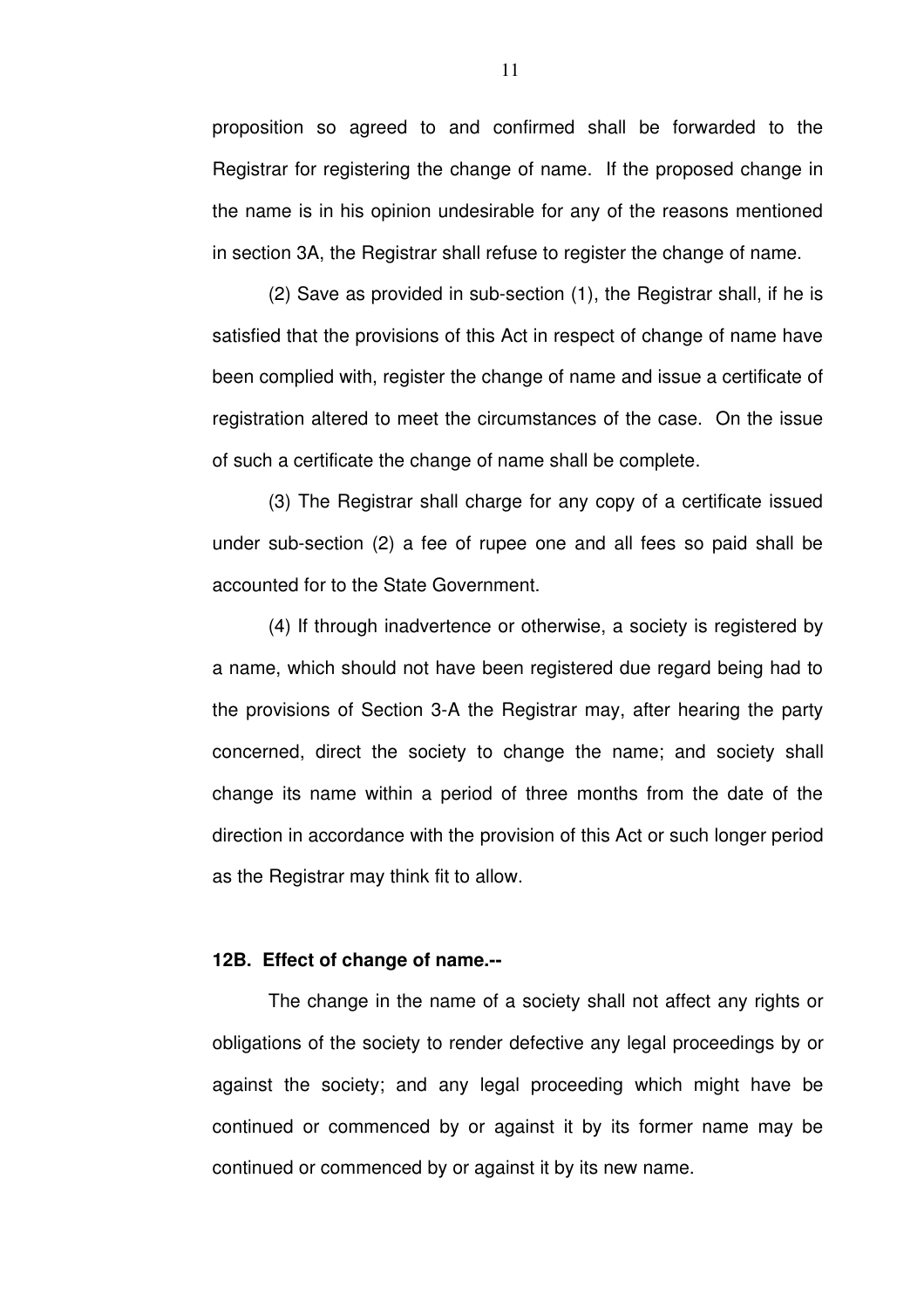proposition so agreed to and confirmed shall be forwarded to the Registrar for registering the change of name. If the proposed change in the name is in his opinion undesirable for any of the reasons mentioned in section 3A, the Registrar shall refuse to register the change of name.

 $(2)$  Save as provided in sub-section  $(1)$ , the Registrar shall, if he is satisfied that the provisions of this Act in respect of change of name have been complied with, register the change of name and issue a certificate of registration altered to meet the circumstances of the case. On the issue of such a certificate the change of name shall be complete.

(3) The Registrar shall charge for any copy of a certificate issued under sub-section (2) a fee of rupee one and all fees so paid shall be accounted for to the State Government.

(4) If through inadvertence or otherwise, a society is registered by a name, which should not have been registered due regard being had to the provisions of Section 3-A the Registrar may, after hearing the party concerned, direct the society to change the name; and society shall change its name within a period of three months from the date of the direction in accordance with the provision of this Act or such longer period as the Registrar may think fit to allow.

# **12B. Effect of change of name.**

The change in the name of a society shall not affect any rights or obligations of the society to render defective any legal proceedings by or against the society; and any legal proceeding which might have be continued or commenced by or against it by its former name may be continued or commenced by or against it by its new name.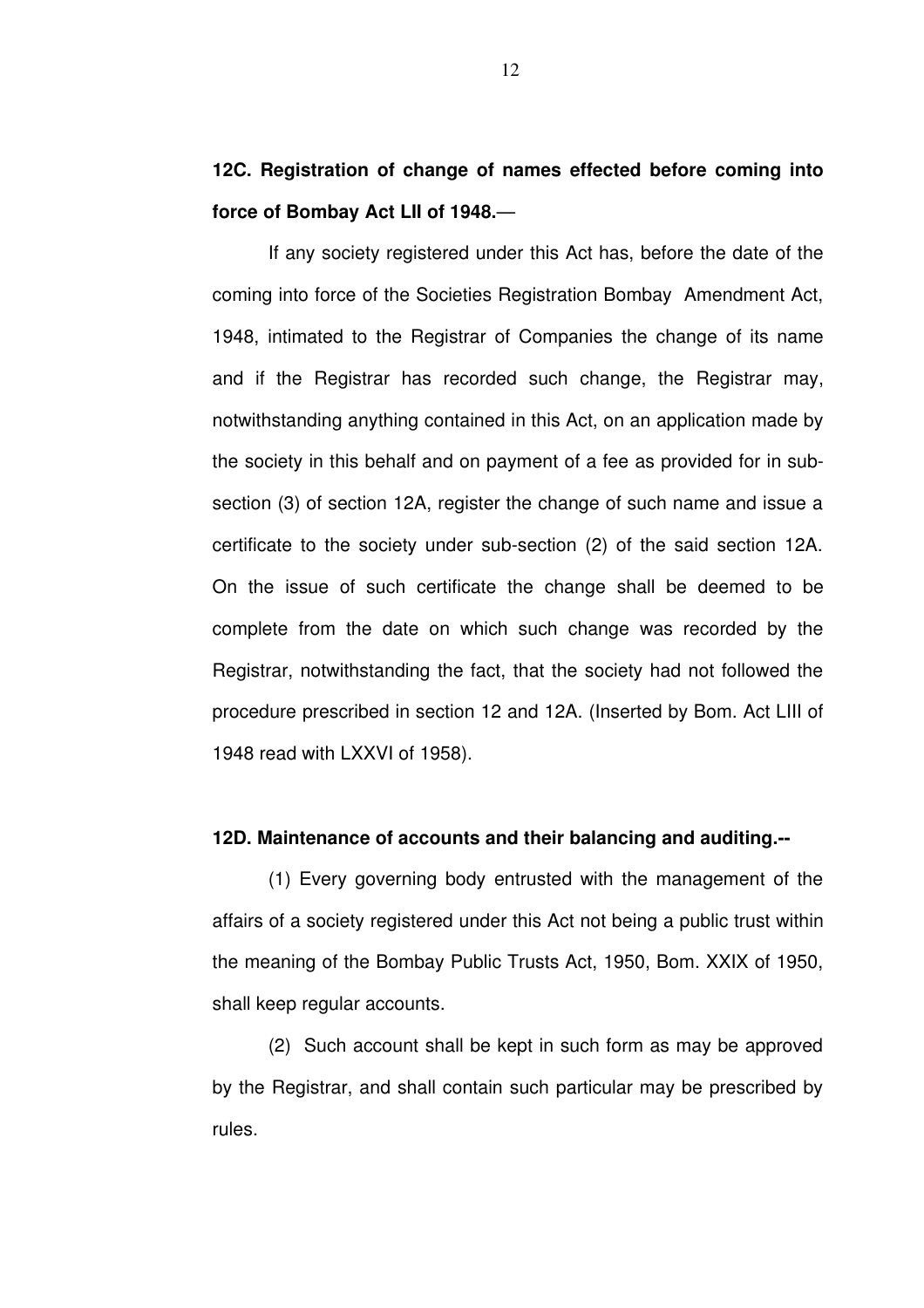**12C. Registration of change of names effected before coming into force of Bombay Act LII of 1948.**—

If any society registered under this Act has, before the date of the coming into force of the Societies Registration Bombay Amendment Act, 1948, intimated to the Registrar of Companies the change of its name and if the Registrar has recorded such change, the Registrar may, notwithstanding anything contained in this Act, on an application made by the society in this behalf and on payment of a fee as provided for in subsection (3) of section 12A, register the change of such name and issue a certificate to the society under sub-section  $(2)$  of the said section 12A. On the issue of such certificate the change shall be deemed to be complete from the date on which such change was recorded by the Registrar, notwithstanding the fact, that the society had not followed the procedure prescribed in section 12 and 12A. (Inserted by Bom. Act LIII of 1948 read with LXXVI of 1958).

#### **12D. Maintenance of accounts and their balancing and auditing.**

(1) Every governing body entrusted with the management of the affairs of a society registered under this Act not being a public trust within the meaning of the Bombay Public Trusts Act, 1950, Bom. XXIX of 1950, shall keep regular accounts.

(2) Such account shall be kept in such form as may be approved by the Registrar, and shall contain such particular may be prescribed by rules.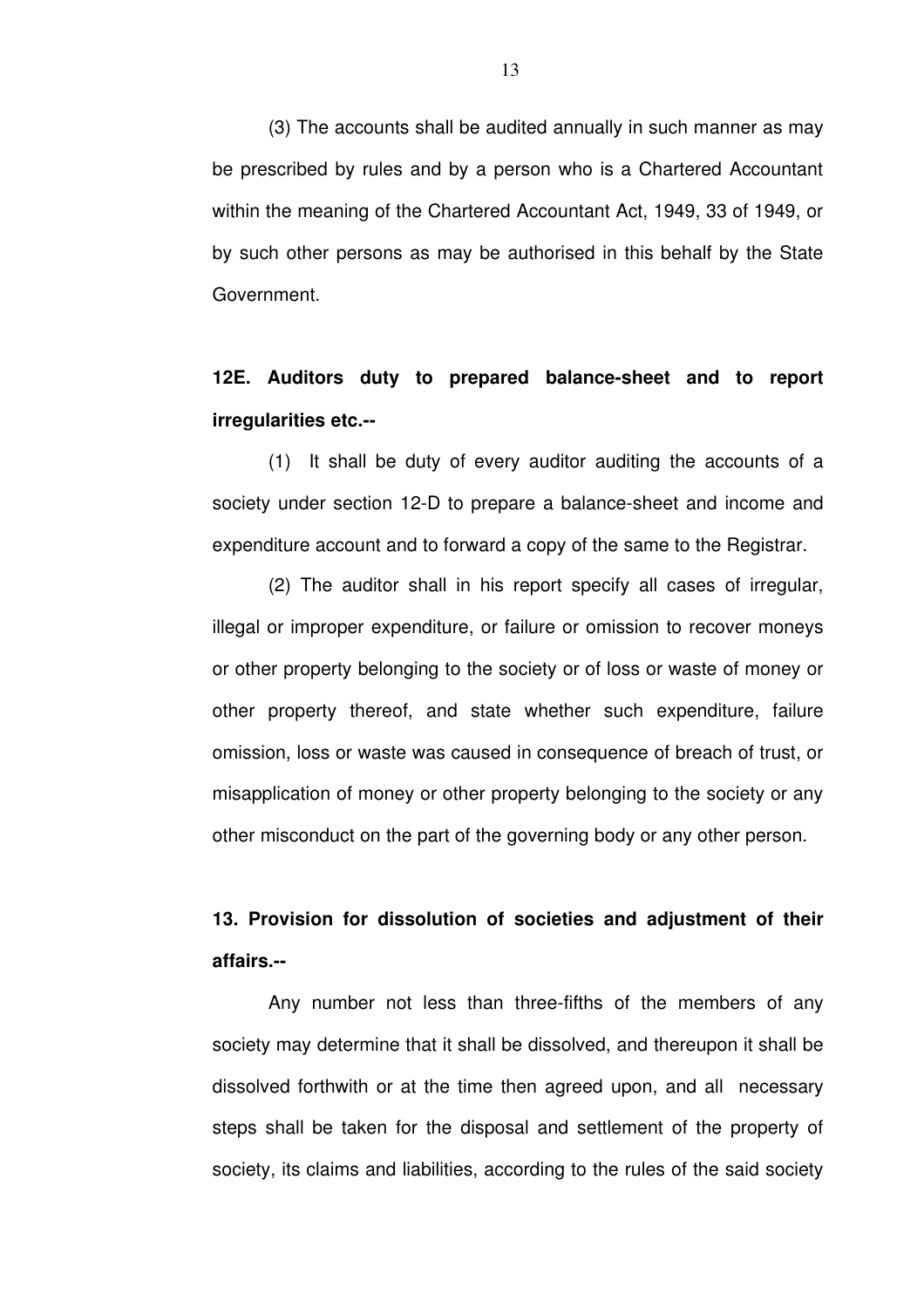(3) The accounts shall be audited annually in such manner as may be prescribed by rules and by a person who is a Chartered Accountant within the meaning of the Chartered Accountant Act, 1949, 33 of 1949, or by such other persons as may be authorised in this behalf by the State Government.

# **12E. Auditors duty to prepared balancesheet and to report irregularities etc.**

(1) It shall be duty of every auditor auditing the accounts of a society under section 12-D to prepare a balance-sheet and income and expenditure account and to forward a copy of the same to the Registrar.

(2) The auditor shall in his report specify all cases of irregular, illegal or improper expenditure, or failure or omission to recover moneys or other property belonging to the society or of loss or waste of money or other property thereof, and state whether such expenditure, failure omission, loss or waste was caused in consequence of breach of trust, or misapplication of money or other property belonging to the society or any other misconduct on the part of the governing body or any other person.

# **13. Provision for dissolution of societies and adjustment of their affairs.**

Any number not less than three-fifths of the members of any society may determine that it shall be dissolved, and thereupon it shall be dissolved forthwith or at the time then agreed upon, and all necessary steps shall be taken for the disposal and settlement of the property of society, its claims and liabilities, according to the rules of the said society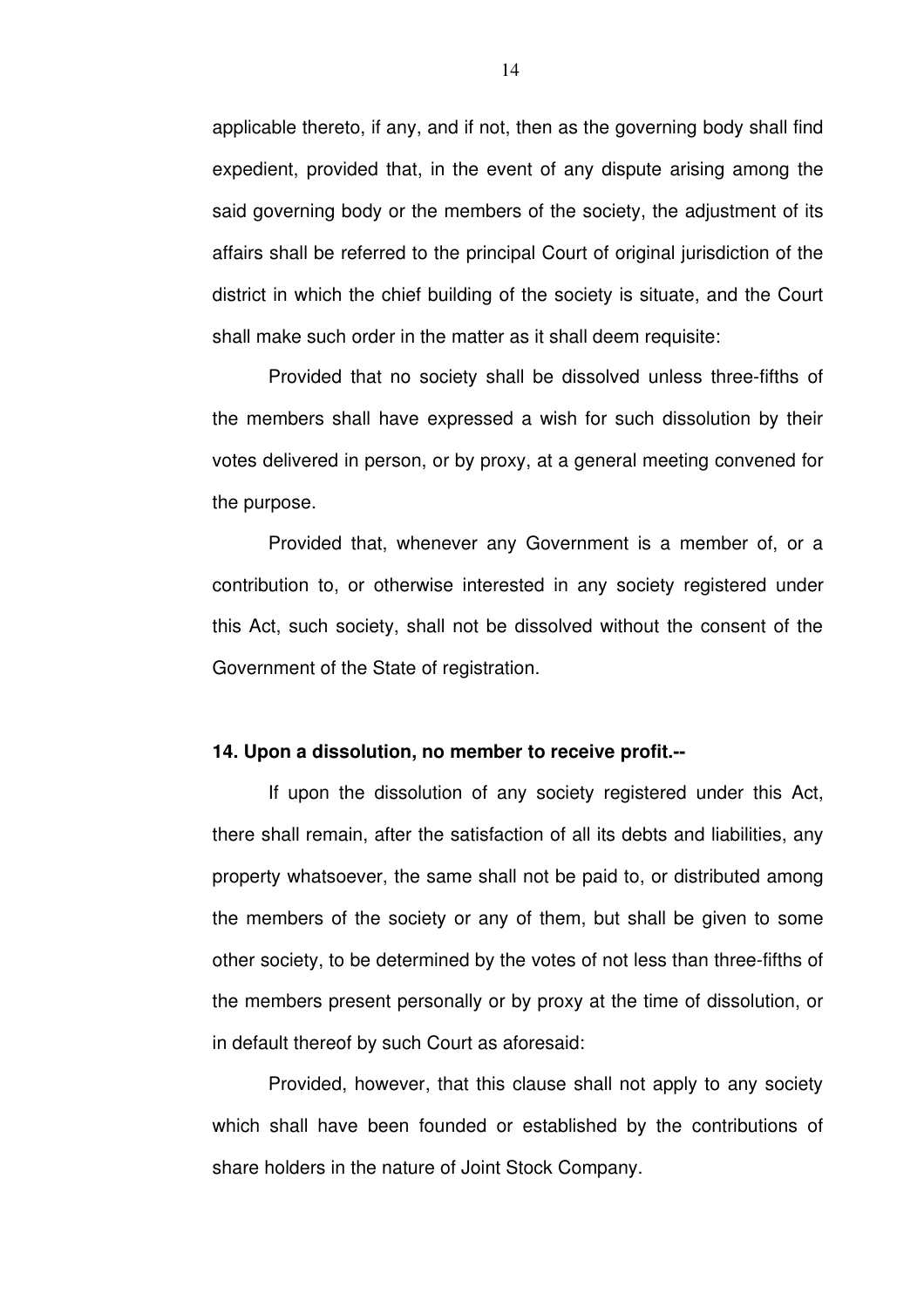applicable thereto, if any, and if not, then as the governing body shall find expedient, provided that, in the event of any dispute arising among the said governing body or the members of the society, the adjustment of its affairs shall be referred to the principal Court of original jurisdiction of the district in which the chief building of the society is situate, and the Court shall make such order in the matter as it shall deem requisite:

Provided that no society shall be dissolved unless three-fifths of the members shall have expressed a wish for such dissolution by their votes delivered in person, or by proxy, at a general meeting convened for the purpose.

Provided that, whenever any Government is a member of, or a contribution to, or otherwise interested in any society registered under this Act, such society, shall not be dissolved without the consent of the Government of the State of registration.

#### **14. Upon a dissolution, no member to receive profit.**

If upon the dissolution of any society registered under this Act, there shall remain, after the satisfaction of all its debts and liabilities, any property whatsoever, the same shall not be paid to, or distributed among the members of the society or any of them, but shall be given to some other society, to be determined by the votes of not less than three-fifths of the members present personally or by proxy at the time of dissolution, or in default thereof by such Court as aforesaid:

Provided, however, that this clause shall not apply to any society which shall have been founded or established by the contributions of share holders in the nature of Joint Stock Company.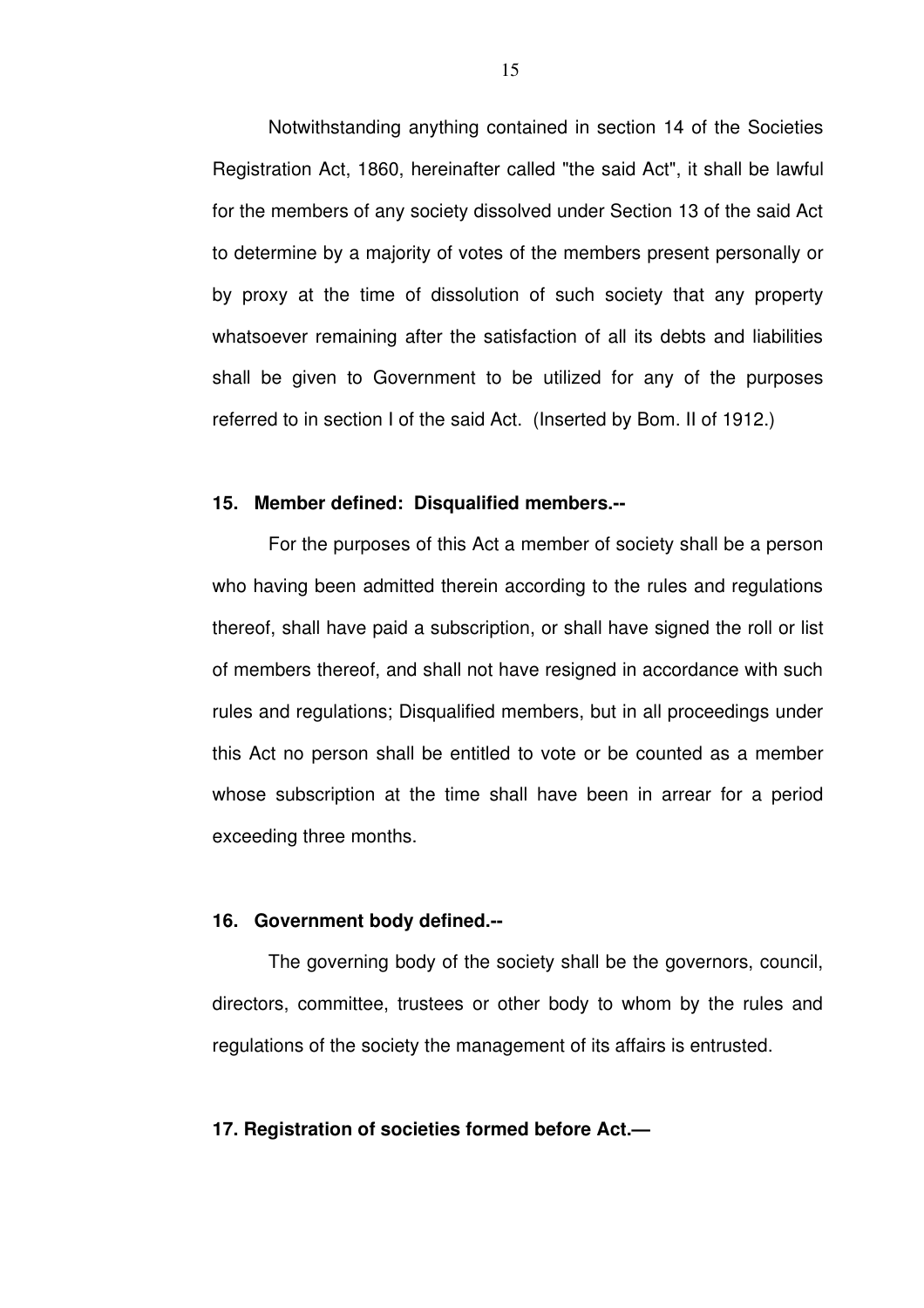Notwithstanding anything contained in section 14 of the Societies Registration Act, 1860, hereinafter called "the said Act", it shall be lawful for the members of any society dissolved under Section 13 of the said Act to determine by a majority of votes of the members present personally or by proxy at the time of dissolution of such society that any property whatsoever remaining after the satisfaction of all its debts and liabilities shall be given to Government to be utilized for any of the purposes referred to in section I of the said Act. (Inserted by Bom. II of 1912.)

# **15. Member defined: Disqualified members.**

For the purposes of this Act a member of society shall be a person who having been admitted therein according to the rules and regulations thereof, shall have paid a subscription, or shall have signed the roll or list of members thereof, and shall not have resigned in accordance with such rules and regulations; Disqualified members, but in all proceedings under this Act no person shall be entitled to vote or be counted as a member whose subscription at the time shall have been in arrear for a period exceeding three months.

#### **16. Government body defined.**

The governing body of the society shall be the governors, council, directors, committee, trustees or other body to whom by the rules and regulations of the society the management of its affairs is entrusted.

# **17. Registration of societies formed before Act.—**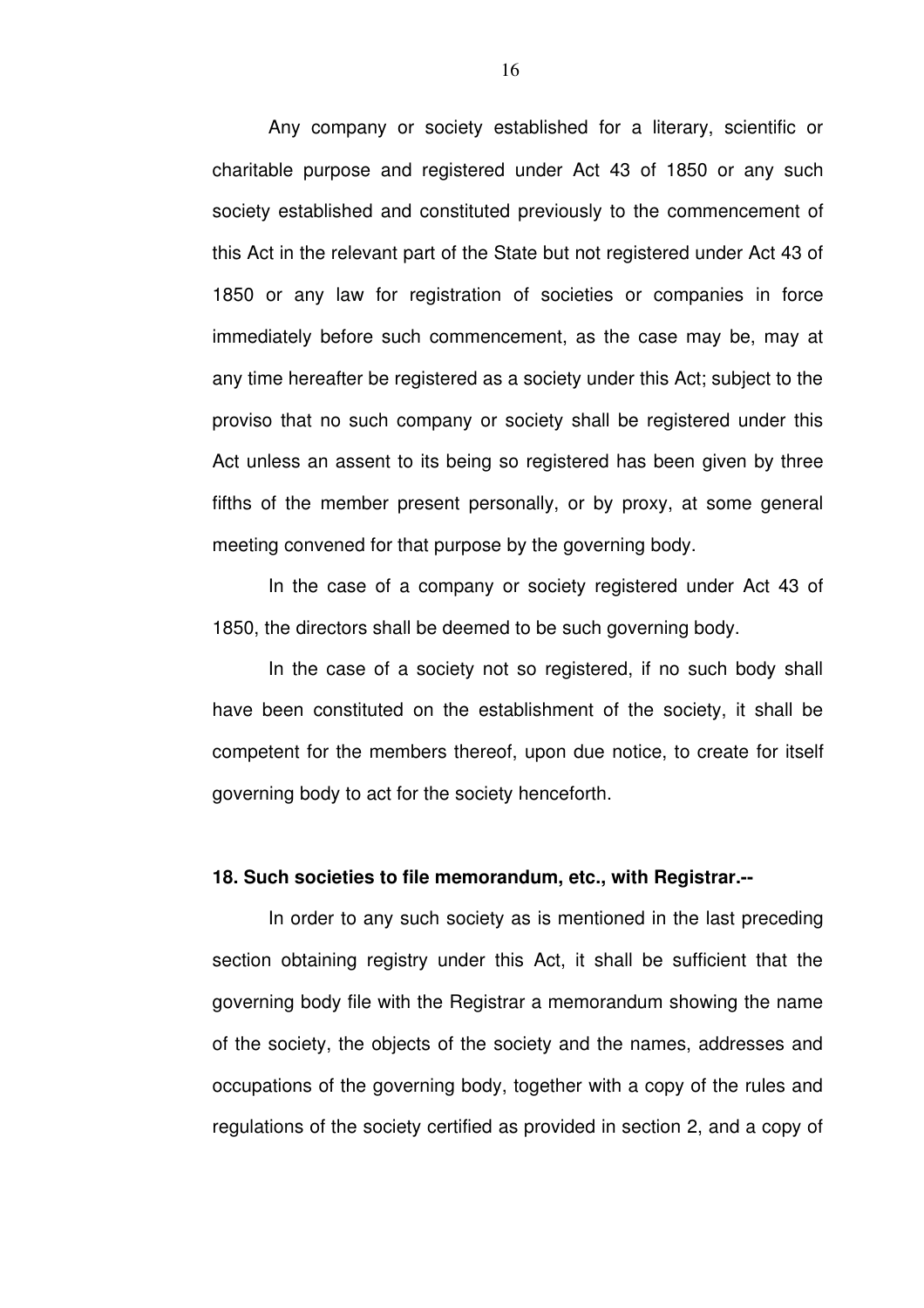Any company or society established for a literary, scientific or charitable purpose and registered under Act 43 of 1850 or any such society established and constituted previously to the commencement of this Act in the relevant part of the State but not registered under Act 43 of 1850 or any law for registration of societies or companies in force immediately before such commencement, as the case may be, may at any time hereafter be registered as a society under this Act; subject to the proviso that no such company or society shall be registered under this Act unless an assent to its being so registered has been given by three fifths of the member present personally, or by proxy, at some general meeting convened for that purpose by the governing body.

In the case of a company or society registered under Act 43 of 1850, the directors shall be deemed to be such governing body.

In the case of a society not so registered, if no such body shall have been constituted on the establishment of the society, it shall be competent for the members thereof, upon due notice, to create for itself governing body to act for the society henceforth.

#### **18. Such societies to file memorandum, etc., with Registrar.**

In order to any such society as is mentioned in the last preceding section obtaining registry under this Act, it shall be sufficient that the governing body file with the Registrar a memorandum showing the name of the society, the objects of the society and the names, addresses and occupations of the governing body, together with a copy of the rules and regulations of the society certified as provided in section 2, and a copy of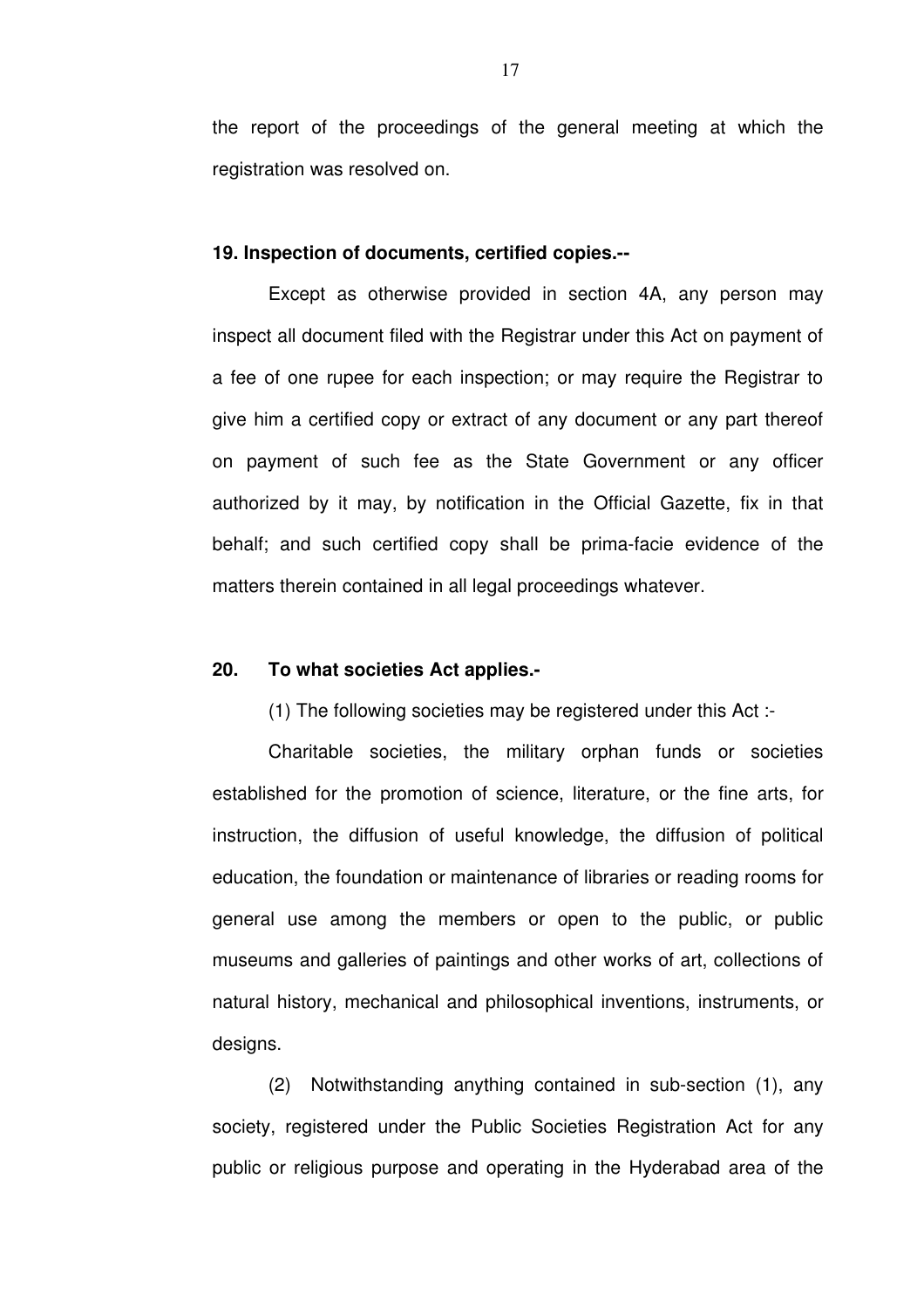the report of the proceedings of the general meeting at which the registration was resolved on.

### **19. Inspection of documents, certified copies.**

Except as otherwise provided in section 4A, any person may inspect all document filed with the Registrar under this Act on payment of a fee of one rupee for each inspection; or may require the Registrar to give him a certified copy or extract of any document or any part thereof on payment of such fee as the State Government or any officer authorized by it may, by notification in the Official Gazette, fix in that behalf; and such certified copy shall be prima-facie evidence of the matters therein contained in all legal proceedings whatever.

# **20. To what societies Act applies.**

(1) The following societies may be registered under this Act :

Charitable societies, the military orphan funds or societies established for the promotion of science, literature, or the fine arts, for instruction, the diffusion of useful knowledge, the diffusion of political education, the foundation or maintenance of libraries or reading rooms for general use among the members or open to the public, or public museums and galleries of paintings and other works of art, collections of natural history, mechanical and philosophical inventions, instruments, or designs.

 $(2)$  Notwithstanding anything contained in sub-section  $(1)$ , any society, registered under the Public Societies Registration Act for any public or religious purpose and operating in the Hyderabad area of the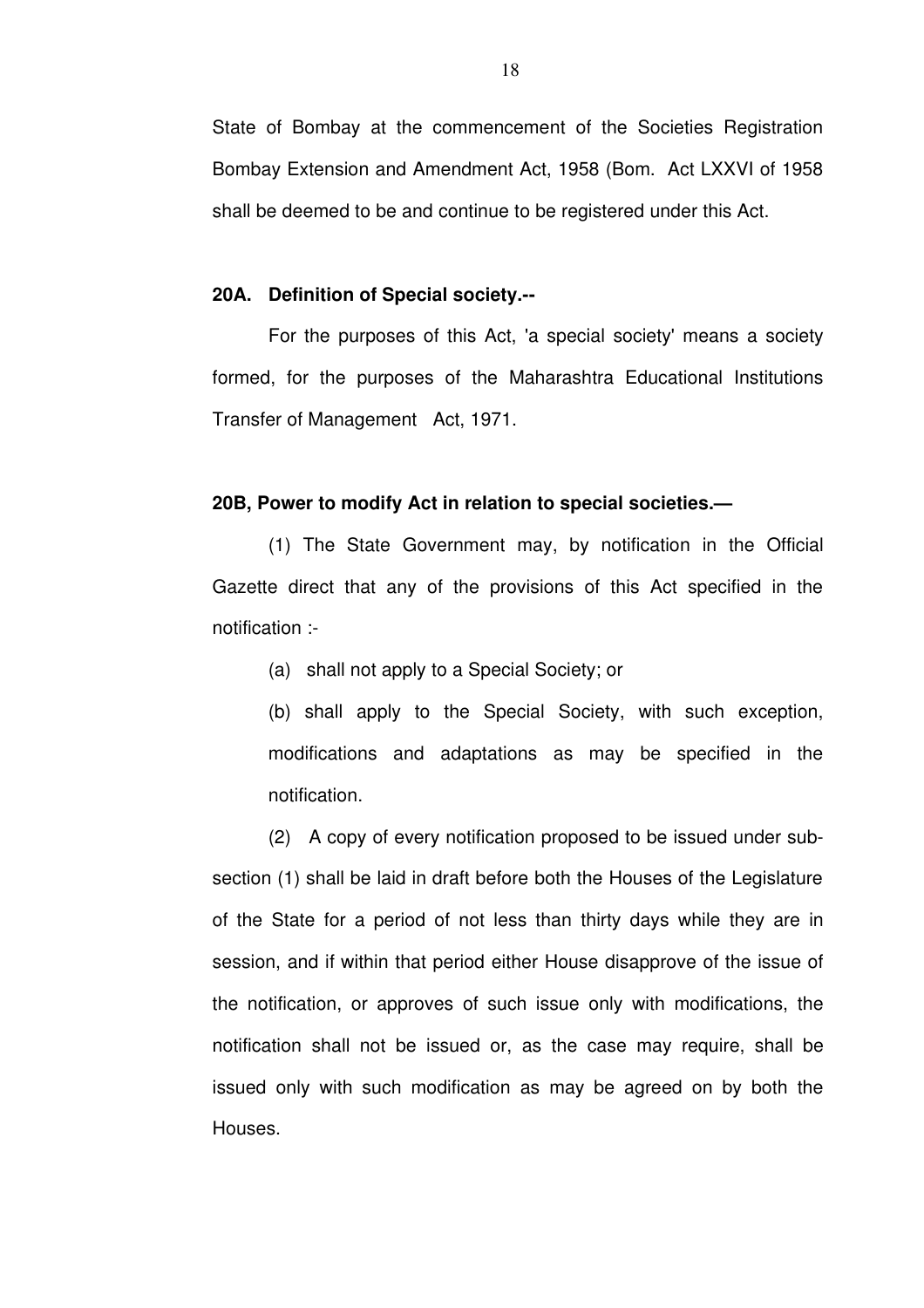State of Bombay at the commencement of the Societies Registration Bombay Extension and Amendment Act, 1958 (Bom. Act LXXVI of 1958 shall be deemed to be and continue to be registered under this Act.

#### **20A. Definition of Special society.**

For the purposes of this Act, 'a special society' means a society formed, for the purposes of the Maharashtra Educational Institutions Transfer of Management Act, 1971.

## **20B, Power to modify Act in relation to special societies.—**

(1) The State Government may, by notification in the Official Gazette direct that any of the provisions of this Act specified in the notification :

(a) shall not apply to a Special Society; or

(b) shall apply to the Special Society, with such exception, modifications and adaptations as may be specified in the notification.

(2) A copy of every notification proposed to be issued under subsection (1) shall be laid in draft before both the Houses of the Legislature of the State for a period of not less than thirty days while they are in session, and if within that period either House disapprove of the issue of the notification, or approves of such issue only with modifications, the notification shall not be issued or, as the case may require, shall be issued only with such modification as may be agreed on by both the Houses.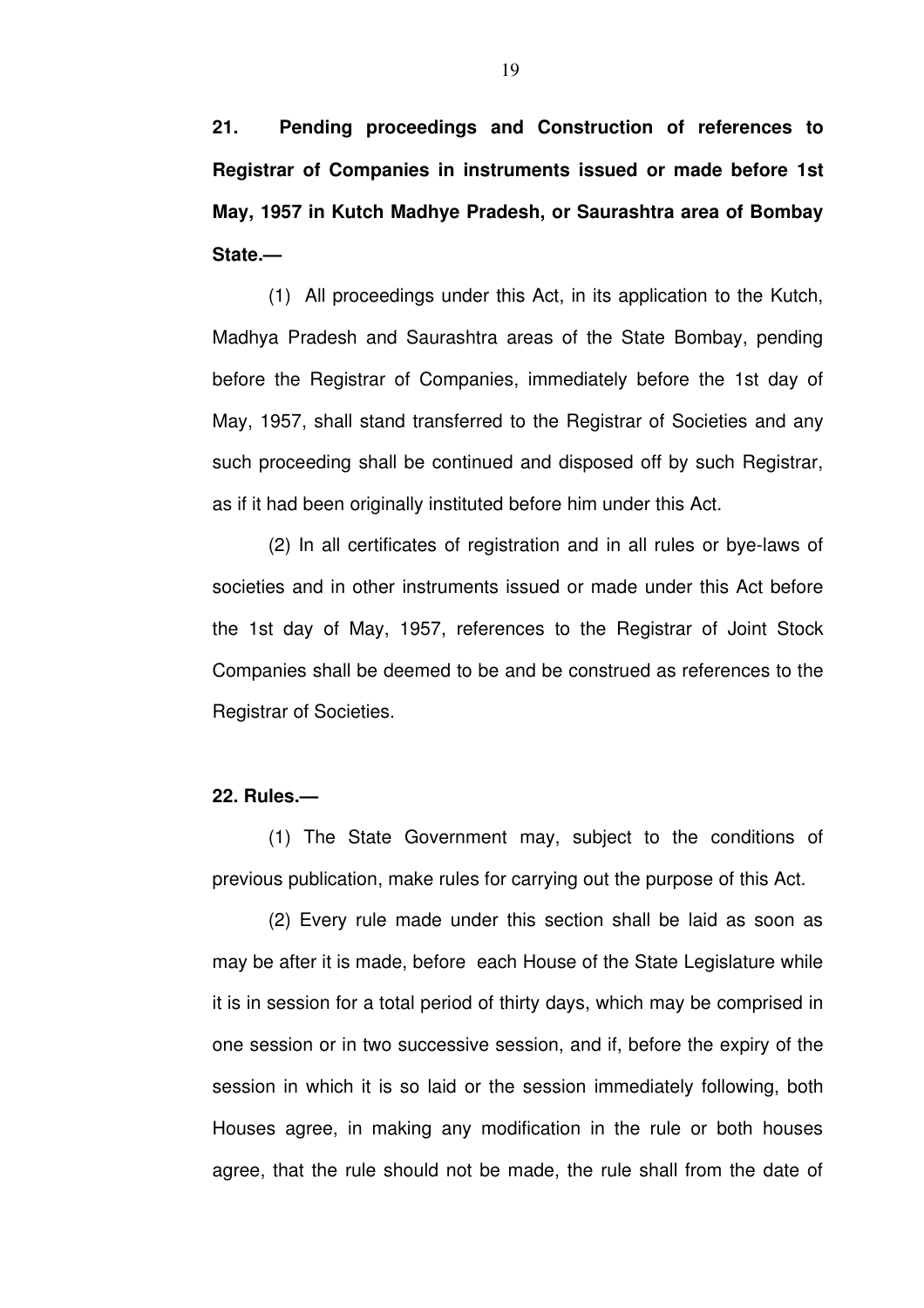**21. Pending proceedings and Construction of references to Registrar of Companies in instruments issued or made before 1st May, 1957 in Kutch Madhye Pradesh, or Saurashtra area of Bombay State.—**

(1) All proceedings under this Act, in its application to the Kutch, Madhya Pradesh and Saurashtra areas of the State Bombay, pending before the Registrar of Companies, immediately before the 1st day of May, 1957, shall stand transferred to the Registrar of Societies and any such proceeding shall be continued and disposed off by such Registrar, as if it had been originally instituted before him under this Act.

(2) In all certificates of registration and in all rules or bye-laws of societies and in other instruments issued or made under this Act before the 1st day of May, 1957, references to the Registrar of Joint Stock Companies shall be deemed to be and be construed as references to the Registrar of Societies.

## **22. Rules.—**

(1) The State Government may, subject to the conditions of previous publication, make rules for carrying out the purpose of this Act.

(2) Every rule made under this section shall be laid as soon as may be after it is made, before each House of the State Legislature while it is in session for a total period of thirty days, which may be comprised in one session or in two successive session, and if, before the expiry of the session in which it is so laid or the session immediately following, both Houses agree, in making any modification in the rule or both houses agree, that the rule should not be made, the rule shall from the date of